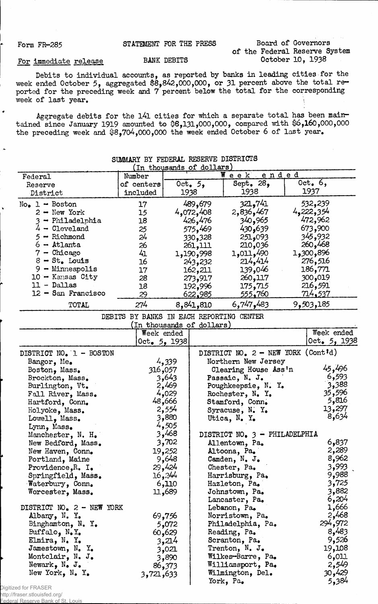Form FR-285 STATEMENT FOR THE PRESS Board of Governors of the Federal Reserve System

## For immediate release BANK DEBITS

Debits to individual accounts, as reported by banks in leading cities for the week ended October 5, aggregated \$8,842,000,000, or 31 percent above the total reported for the preceding week and 7 percent below the total for the corresponding week of last year.

Aggregate debits for the l4l cities for which a separate total has been maintained since January 1919 amounted to 08,131,000,000, compared with \$6,160,000,000 the preceding week and \$8,704,000,000 the week ended October 6 of last year.

|                                   | SUMMARI BI FEDERAL RESERVE DISIRIOIS     |                | (In thousands of dollars) |                                      |                |
|-----------------------------------|------------------------------------------|----------------|---------------------------|--------------------------------------|----------------|
| Federal                           | Number                                   |                |                           | Week ended                           |                |
|                                   | of centers                               |                | Oct. $5,$                 | Sept. $289$                          | Oct. $6,$      |
| Reserve<br>District               | included                                 |                | 1938                      | 1938                                 | 1937           |
|                                   |                                          |                |                           |                                      |                |
| $No_{\bullet}$ 1 - Boston         | 17                                       |                | 489,679                   | 321,741                              | 532,239        |
| $2 -$ New York                    | 15                                       |                | 4,072,408                 | 2,836,467                            | 4,222,354      |
| - Philadelphia                    | 18                                       |                | 426,476                   | 340,965                              | 472,962        |
| $4 -$ Cleveland                   | 25                                       |                | 575,469                   | 430,639                              | 673,900        |
| - Richmond                        | 24                                       |                | 330,328                   | 251,093                              | 345,932        |
| $6 -$ Atlanta                     | 26                                       |                | 261,111                   | 210,036                              | 260,468        |
| $7 -$ Chicago                     | 41                                       |                | 1,190,998                 | 1,011,490                            | 896و300و1      |
| $8 - St$ . Louis                  | 16                                       |                | 243,232                   | 214,414                              | 276,516        |
| $9 -$ Minneapolis                 | 17                                       |                | 162,211                   | 139,046                              | 186,771        |
| $10 -$ Kansas City                | 28                                       |                | 273,917                   | 260,117                              | 300,019        |
| $11 - Dallas$                     | 18                                       |                | 192,996                   | 175,715                              | 216,591        |
| $12 -$ San Francisco              | 29                                       |                | <u>622,985</u>            | <u>555,760</u>                       | <u>714,537</u> |
| TOTAL                             | 274                                      |                | 8,841,810                 | 6,747,483                            | 9,503,185      |
|                                   | DEBITS BY BANKS IN EACH REPORTING CENTER |                |                           |                                      |                |
|                                   |                                          |                | (In thousands of dollars) |                                      |                |
|                                   |                                          | Week ended     |                           |                                      | Week ended     |
|                                   |                                          | Oct. $5, 1938$ |                           |                                      | Oct. 5, 1938   |
|                                   |                                          |                |                           |                                      |                |
| DISTRICT NO. 1 - BOSTON           |                                          |                |                           | DISTRICT NO. $2 - NEW$ YORK (Cont'd) |                |
| Bangor, Me.                       |                                          | 4,339          |                           | Northern New Jersey                  |                |
| Boston, Mass.                     |                                          | 316,057        |                           | Clearing House Ass'n                 | 45,496         |
| Brockton, Mass.                   |                                          | 3,643          |                           | Passaic, N. J.                       | 6,593          |
| Burlington, Vt.                   |                                          | 2,469          |                           | Poughkeepsie, N. Y.                  | 3,388          |
| Fall River, Mass.                 |                                          | 4,029          |                           | Rochester, N. Y.                     | 35,596         |
| Hartford, Conn.                   |                                          | 48,666         |                           | Stamford, Conn.                      | 5,816          |
| Holyoke, Mass.                    |                                          | 2,554          |                           | Syracuse, $N$ . $Y$ .                | 13,297         |
| Lowell, Mass.                     |                                          | 3,880          |                           | Utica, N. Y.                         | 8,634          |
| Lynn, Mass.                       |                                          | 4,505          |                           |                                      |                |
| Manchester, N. H.                 |                                          | 3,468          |                           | DISTRICT NO. 3 - PHILADELPHIA        |                |
| New Bedford, Mass.                |                                          | 3,702          |                           | Allentown, Pa.                       | 6,837          |
| New Haven, Conn.                  |                                          | 19,252         |                           | Altoona, Pa.                         | 2,289          |
| Portland, Maine                   |                                          | 9,648          |                           | Camden, N. J.                        | 8,962          |
| Providence, R. I.                 |                                          | 29,424         |                           | Chester, Pa.                         | 3,993          |
| Springfield, Mass.                |                                          | 16,244         |                           | Harrisburg, Pa.                      | 9,988          |
| Waterbury, Conn.                  |                                          | 6,110          |                           | Hazleton, Pa.                        | 3,725          |
| Worcester, Mass.                  |                                          | 11,689         |                           | Johnstown, Pa.                       | 3,882          |
|                                   |                                          |                |                           | Lancaster, Pa.                       | 6,204          |
| DISTRICT NO. 2 - NEW YORK         |                                          |                |                           | Lebanon, Pa.                         | 1,666          |
| Albany, N. Y.                     |                                          | 69,756         |                           | Norristown, Pa.                      | 2,468          |
|                                   |                                          |                |                           |                                      | 294,972        |
| Binghamton, $N_{\bullet}$ Y.      |                                          | 5,072          |                           | Philadelphia, Pa.                    | 8,483          |
| Buffalo, $N_{\bullet}Y_{\bullet}$ |                                          | 60,629         |                           | Reading, Pa.                         |                |
| Elmira, N. Y.                     |                                          | 3,214          |                           | Scranton, Pa.                        | 9,526          |
| Jamestown, $N_e$ $Y_e$            |                                          | 3,021          |                           | Trenton, N. J.                       | 19,108         |
| Montclair, N.J.                   |                                          | 3,890          |                           | Wilkes-Barre, Pa.                    | 6,011          |
| Newark, $N_{\bullet}$ J.          |                                          | 86,373         |                           | Williamsport, Pa.                    | 2,549          |
| New York, N. Y.                   | 3,721,633                                |                |                           | Wilmington, Del.                     | 30,429         |
|                                   |                                          |                |                           | York, Pa.                            | 5,384          |

SUMMARY BEDERAL RESERVE DESCRIPTION

Digitized for FRASER

http://fraser.stlouisfed.org/ al Reserv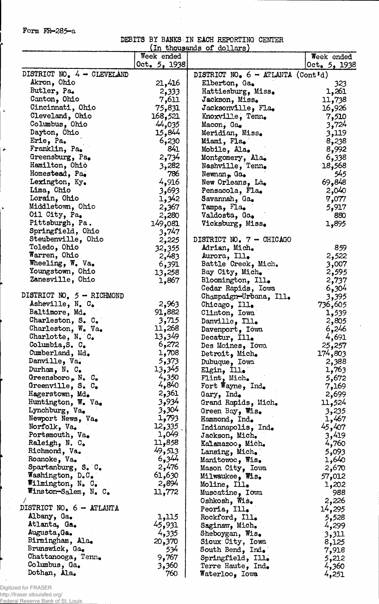Form FR—285-a

 $\frac{1}{2}$ 

 $\ddot{\phantom{1}}$ 

 $\ddot{\phantom{0}}$ 

DEBITS BY BANKS.IN EACH REPORTING CENTER  $\frac{(\text{In thousands of dollars})}{(\text{In thousands of dollars})}$ 

|                                      | Week ended      |                                                   | Week ended     |
|--------------------------------------|-----------------|---------------------------------------------------|----------------|
|                                      | Oct. 5, 1938    |                                                   | Oct. 5, 1938   |
| DISTRICT NO. $4 -$ CLEVELAND         |                 | DISTRICT NO. $6 - \text{ATLANTA} (\text{Cont'd})$ |                |
| Akron, Ohio                          | 21,416          | Elberton, Ga.                                     | 323            |
| Butler, Pa.                          | 2,333           | Hattiesburg, Miss.                                | 1,261          |
| Canton, Ohio                         | 7,611           | Jackson, Miss.                                    | 11,738         |
| Cincinnati, Ohio                     | 75,831          | Jacksonville, Fla.                                | 16,926         |
| Cleveland, Ohio                      | 168,521         | Knoxville, Tenn.                                  | 7,510          |
| Columbus, Ohio                       | 44,035          | Macon, Ga.                                        | 3,724          |
| Dayton, Ohio                         | 15,844          | Meridian, Miss.                                   | 3,119          |
| Erie, Pa.                            | 6,230           | Miami, Fla.                                       | 8,238          |
| Franklin, Pa.                        | 841             | Mobile, Ala.                                      | 8,992          |
| Greensburg, Pa.                      | 2,734           | Montgomery, Ala.                                  | 6,338          |
| Hamilton, Ohio                       | 3,282           | Nashville, Tenn.                                  | 18,568         |
| Homestead, Pa.                       | 786             | Newnan, Ga.                                       | 545            |
| Lexington, Ky.                       | 4,916           | New Orleans, La.                                  | 69,848         |
| Lima, Ohio                           | 3,693           | Pensacola, Fla.                                   | 2,040          |
| Lorain, Ohio                         | 1,342           | Savannah, Ga.                                     | 7,077          |
| Middletown, Ohio                     | 2,367           | Tampa, Fla.                                       | 5,917          |
| Oil City, Pa.<br>Pittsburgh, Pa.     | 2,280           | Valdosta, Ga.                                     | 880            |
| Springfield, Ohio                    | 149,081         | Vicksburg, Miss.                                  | 1,895          |
| Steubenville, Ohio                   | 3,747           | DISTRICT NO. 7 - CHICAGO                          |                |
| Toledo, Ohio                         | 2,225<br>32,355 | Adrian, Mich.                                     | 859            |
| Warren, Ohio                         | 2,483           | Aurora, Ill.                                      | 2,522          |
| Wheeling, W. Va.                     | 6,391           | Battle Creek, Mich.                               | 3,007          |
| Youngstown, Ohio                     | 13,258          | Bay City, Mich.                                   | 2,595          |
| Zanesville, Ohio                     | 1,867           | Bloomington, Ill.                                 | 2,737          |
|                                      |                 | Cedar Rapids, Iowa                                | 6,304          |
| DISTRICT NO. 5 - RICHMOND            |                 | Champaign-Urbana, Ill.                            | 3,395          |
| Asheville, N. C.                     | 2,963           | Chicago, Ill.                                     | 736,605        |
| Baltimore, Md.                       | 91,882          | Clinton, Iowa                                     | 1,539          |
| Charleston, S. C.                    | 3,715           | Danville, Ill.                                    | 2,805          |
| Charleston, W. Va.                   | 11,268          | Davenport, Iowa                                   | 6,246          |
| Charlotte, N. C.                     | 13,349          | Decatur, Ill.                                     | 4,691          |
| Columbia, S. C.                      | 6,272           | Des Moines, Iowa                                  | 25,257         |
| Cumberland, Md.                      | 1,708           | Detroit, Mich.                                    | 174,803        |
| Danville, Va.                        | 5,373           | Dubuque, Iowa                                     | 2,388          |
| Durham, N. C.                        | 13,345<br>4,350 | Elgin, Ill.                                       | 1,763          |
| Greensboro, $N_e$ $C_e$              | 4,840           | Flint, Mich.                                      | 5,672          |
| Greenville, S. C.<br>Hagerstown, Md. | 2,361           | Fort Wayne, Ind.                                  | 7,169<br>2,699 |
| Huntington, W. Va.                   | 3,934           | Gary, Ind.<br>Grand Rapids, Mich.                 | 11,524         |
| Lynchburg, Va.                       | 3,304           | Green Bay, Wis.                                   | 3,235          |
| Newport News, Va.                    | 1,793           | Hammond, Ind.                                     | 1,467          |
| Norfolk, Va.                         | 12,335          | Indianapolis, Ind.                                | 45,407         |
| Portsmouth, Va.                      | 1,049           | Jackson, Mich.                                    | 3,419          |
| Raleigh, N. C.                       | 11,858          | Kalamazoo, Mich.                                  | 4,760          |
| Richmond, Va.                        | 49,513          | Lansing, Mich.                                    | 5,093          |
| Roanoke, Va.                         | 6,344           | Manitowoc, Wis.                                   | 1,640          |
| Spartanburg, S. C.                   | 2,476           | Mason City, Iowa                                  | 2,670          |
| Washington, D.C.                     | 61,630          | Milwaukee, Wis.                                   | 57,012         |
| Wilmington, N. C.                    | 2,894           | Moline, Ill.                                      | 1,202          |
| Winston-Salem, N. C.                 | 11,772          | Muscatine, Iowa                                   | 988            |
|                                      |                 | Oshkosh, Wis.                                     | 2,226          |
| DISTRICT NO. 6 - ATLANTA             |                 | Peoria, Ill.                                      | 14,295         |
| Albany, Ga.                          | 1,115           | Rockford, Ill.                                    | 5,528          |
| Atlanta, Ga.<br>Augusta, Ga.         | 45,931          | Saginaw, Mich.                                    | 4,299          |
| Birmingham, Ala.                     | 4,335           | Sheboygan, Wis.                                   | 3,311          |
| Brunswick, Ga.                       | 20,370<br>534   | Sioux City, Iowa                                  | 8,125          |
| Chattanooga, Tenn.                   | 9,767           | South Bend, Ind.<br>Springfield, Ill.             | 7,918          |
| Columbus, Ga.                        | 3,360           | Terre Haute, Ind.                                 | 5,212<br>4,360 |
| Dothan, Ala.                         | 760             | Waterloo, Iowa                                    | 4,251          |

Digitized for FRASER http://fraser.stlouisfed.org/

 $\frac{1}{2}$ 

Federal Reserve Bank of St. Louis